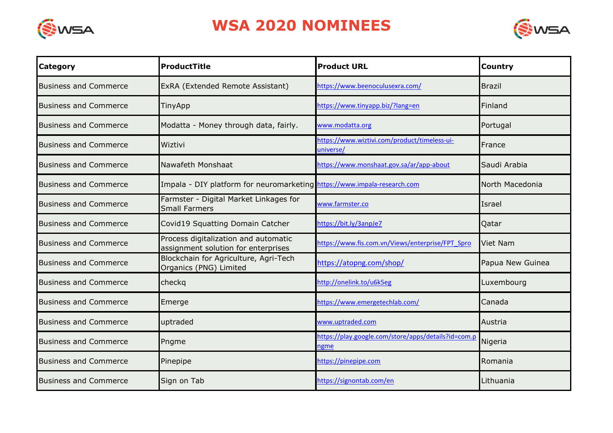



| <b>Category</b>              | ProductTitle                                                                | <b>Product URL</b>                                          | <b>Country</b>   |
|------------------------------|-----------------------------------------------------------------------------|-------------------------------------------------------------|------------------|
| <b>Business and Commerce</b> | ExRA (Extended Remote Assistant)                                            | https://www.beenoculusexra.com/                             | <b>Brazil</b>    |
| <b>Business and Commerce</b> | <b>TinyApp</b>                                                              | https://www.tinyapp.biz/?lang=en                            | Finland          |
| <b>Business and Commerce</b> | Modatta - Money through data, fairly.                                       | www.modatta.org                                             | Portugal         |
| <b>Business and Commerce</b> | Wiztivi                                                                     | https://www.wiztivi.com/product/timeless-ui-<br>universe/   | France           |
| <b>Business and Commerce</b> | Nawafeth Monshaat                                                           | nttps://www.monshaat.gov.sa/ar/app-about                    | Saudi Arabia     |
| <b>Business and Commerce</b> | Impala - DIY platform for neuromarketing https://www.impala-research.com    |                                                             | North Macedonia  |
| <b>Business and Commerce</b> | Farmster - Digital Market Linkages for<br><b>Small Farmers</b>              | www.farmster.co                                             | Israel           |
| <b>Business and Commerce</b> | Covid19 Squatting Domain Catcher                                            | https://bit.ly/3anpJe7                                      | Qatar            |
| <b>Business and Commerce</b> | Process digitalization and automatic<br>assignment solution for enterprises | https://www.fis.com.vn/Views/enterprise/FPT Spro            | <b>Viet Nam</b>  |
| <b>Business and Commerce</b> | Blockchain for Agriculture, Agri-Tech<br>Organics (PNG) Limited             | https://atopng.com/shop/                                    | Papua New Guinea |
| <b>Business and Commerce</b> | checkg                                                                      | http://onelink.to/u6k5eg                                    | Luxembourg       |
| <b>Business and Commerce</b> | Emerge                                                                      | https://www.emergetechlab.com/                              | Canada           |
| <b>Business and Commerce</b> | uptraded                                                                    | www.uptraded.com                                            | Austria          |
| <b>Business and Commerce</b> | Pngme                                                                       | https://play.google.com/store/apps/details?id=com.p<br>ngme | Nigeria          |
| <b>Business and Commerce</b> | Pinepipe                                                                    | nttps://pinepipe.com                                        | Romania          |
| <b>Business and Commerce</b> | Sign on Tab                                                                 | https://signontab.com/en                                    | Lithuania        |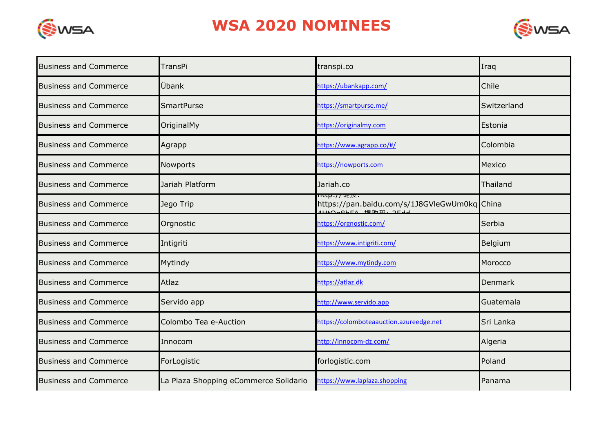



| <b>Business and Commerce</b> | <b>TransPi</b>                        | transpi.co                                                                            | Iraq           |
|------------------------------|---------------------------------------|---------------------------------------------------------------------------------------|----------------|
| <b>Business and Commerce</b> | Übank                                 | https://ubankapp.com/                                                                 | Chile          |
| <b>Business and Commerce</b> | <b>SmartPurse</b>                     | https://smartpurse.me/                                                                | Switzerland    |
| <b>Business and Commerce</b> | OriginalMy                            | https://originalmy.com                                                                | Estonia        |
| <b>Business and Commerce</b> | Agrapp                                | https://www.agrapp.co/#/                                                              | Colombia       |
| <b>Business and Commerce</b> | Nowports                              | https://nowports.com                                                                  | Mexico         |
| <b>Business and Commerce</b> | Jariah Platform                       | Jariah.co                                                                             | Thailand       |
| <b>Business and Commerce</b> | Jego Trip                             | Ittp:// 陡顶,<br>https://pan.baidu.com/s/1J8GVleGwUm0kq China<br>111+0-06FA +BT-IT. 3F- |                |
| <b>Business and Commerce</b> | Orgnostic                             | https://orgnostic.com/                                                                | Serbia         |
| <b>Business and Commerce</b> | Intigriti                             | https://www.intigriti.com/                                                            | Belgium        |
| <b>Business and Commerce</b> | Mytindy                               | https://www.mytindy.com                                                               | Morocco        |
| <b>Business and Commerce</b> | Atlaz                                 | https://atlaz.dk                                                                      | <b>Denmark</b> |
| <b>Business and Commerce</b> | Servido app                           | http://www.servido.app                                                                | Guatemala      |
| <b>Business and Commerce</b> | Colombo Tea e-Auction                 | https://colomboteaauction.azureedge.net                                               | Sri Lanka      |
| <b>Business and Commerce</b> | Innocom                               | http://innocom-dz.com/                                                                | Algeria        |
| <b>Business and Commerce</b> | ForLogistic                           | forlogistic.com                                                                       | Poland         |
| <b>Business and Commerce</b> | La Plaza Shopping eCommerce Solidario | https://www.laplaza.shopping                                                          | Panama         |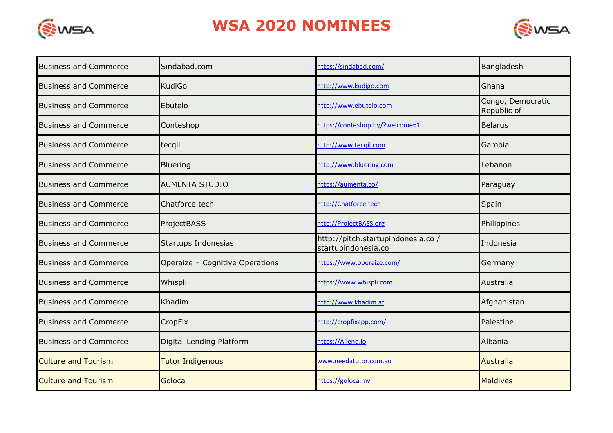



| <b>Business and Commerce</b> | Sindabad.com                    | https://sindabad.com/                                    | Bangladesh                       |
|------------------------------|---------------------------------|----------------------------------------------------------|----------------------------------|
| <b>Business and Commerce</b> | <b>KudiGo</b>                   | http://www.kudigo.com                                    | Ghana                            |
| <b>Business and Commerce</b> | Ebutelo                         | http://www.ebutelo.com                                   | Congo, Democratic<br>Republic of |
| <b>Business and Commerce</b> | Conteshop                       | https://conteshop.by/?welcome=1                          | <b>Belarus</b>                   |
| <b>Business and Commerce</b> | tecqil                          | http://www.tecqil.com                                    | Gambia                           |
| <b>Business and Commerce</b> | Bluering                        | http://www.bluering.com                                  | Lebanon                          |
| <b>Business and Commerce</b> | <b>AUMENTA STUDIO</b>           | https://aumenta.co/                                      | Paraguay                         |
| <b>Business and Commerce</b> | Chatforce.tech                  | http://Chatforce.tech                                    | Spain                            |
| <b>Business and Commerce</b> | ProjectBASS                     | http://ProjectBASS.org                                   | Philippines                      |
| <b>Business and Commerce</b> | Startups Indonesias             | http://pitch.startupindonesia.co/<br>startupindonesia.co | Indonesia                        |
| <b>Business and Commerce</b> | Operaize - Cognitive Operations | https://www.operaize.com/                                | Germany                          |
| <b>Business and Commerce</b> | Whispli                         | https://www.whispli.com                                  | Australia                        |
| <b>Business and Commerce</b> | Khadim                          | http://www.khadim.af                                     | Afghanistan                      |
| <b>Business and Commerce</b> | <b>CropFix</b>                  | http://cropfixapp.com/                                   | Palestine                        |
| <b>Business and Commerce</b> | Digital Lending Platform        | https://Ailend.io                                        | Albania                          |
| <b>Culture and Tourism</b>   | <b>Tutor Indigenous</b>         | www.needatutor.com.au                                    | <b>Australia</b>                 |
| <b>Culture and Tourism</b>   | Goloca                          | https://goloca.mv                                        | <b>Maldives</b>                  |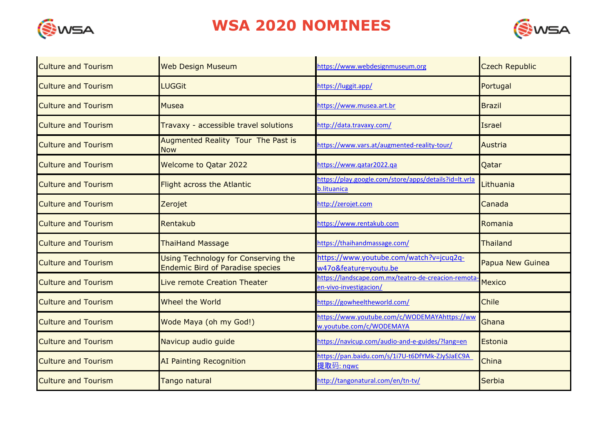



| <b>Culture and Tourism</b> | <b>Web Design Museum</b>                                                       | https://www.webdesignmuseum.org                                               | <b>Czech Republic</b> |
|----------------------------|--------------------------------------------------------------------------------|-------------------------------------------------------------------------------|-----------------------|
| <b>Culture and Tourism</b> | <b>LUGGit</b>                                                                  | https://luggit.app/                                                           | Portugal              |
| <b>Culture and Tourism</b> | <b>Musea</b>                                                                   | https://www.musea.art.br                                                      | <b>Brazil</b>         |
| <b>Culture and Tourism</b> | Travaxy - accessible travel solutions                                          | http://data.travaxy.com/                                                      | <b>Israel</b>         |
| <b>Culture and Tourism</b> | Augmented Reality Tour The Past is<br><b>Now</b>                               | https://www.vars.at/augmented-reality-tour/                                   | <b>Austria</b>        |
| <b>Culture and Tourism</b> | <b>Welcome to Qatar 2022</b>                                                   | https://www.gatar2022.ga                                                      | Qatar                 |
| <b>Culture and Tourism</b> | <b>Flight across the Atlantic</b>                                              | https://play.google.com/store/apps/details?id=lt.vrla<br><b>b.lituanica</b>   | Lithuania             |
| <b>Culture and Tourism</b> | Zerojet                                                                        | http://zerojet.com                                                            | Canada                |
| <b>Culture and Tourism</b> | Rentakub                                                                       | https://www.rentakub.com                                                      | Romania               |
| <b>Culture and Tourism</b> | <b>ThaiHand Massage</b>                                                        | https://thaihandmassage.com/                                                  | Thailand              |
| <b>Culture and Tourism</b> | Using Technology for Conserving the<br><b>Endemic Bird of Paradise species</b> | https://www.youtube.com/watch?v=jcuq2q-<br>w47o&feature=youtu.be              | Papua New Guinea      |
| <b>Culture and Tourism</b> | Live remote Creation Theater                                                   | https://landscape.com.mx/teatro-de-creacion-remota-<br>en-vivo-investigacion/ | <b>Mexico</b>         |
| <b>Culture and Tourism</b> | Wheel the World                                                                | https://gowheeltheworld.com/                                                  | <b>Chile</b>          |
| <b>Culture and Tourism</b> | Wode Maya (oh my God!)                                                         | https://www.youtube.com/c/WODEMAYAhttps://ww<br>w.youtube.com/c/WODEMAYA      | Ghana                 |
| <b>Culture and Tourism</b> | Navicup audio guide                                                            | https://navicup.com/audio-and-e-guides/?lang=en                               | Estonia               |
| <b>Culture and Tourism</b> | <b>AI Painting Recognition</b>                                                 | https://pan.baidu.com/s/1i7U-t6DfYMk-ZJySJaEC9A<br>提取码: nqwc                  | China                 |
| <b>Culture and Tourism</b> | Tango natural                                                                  | http://tangonatural.com/en/tn-tv/                                             | Serbia                |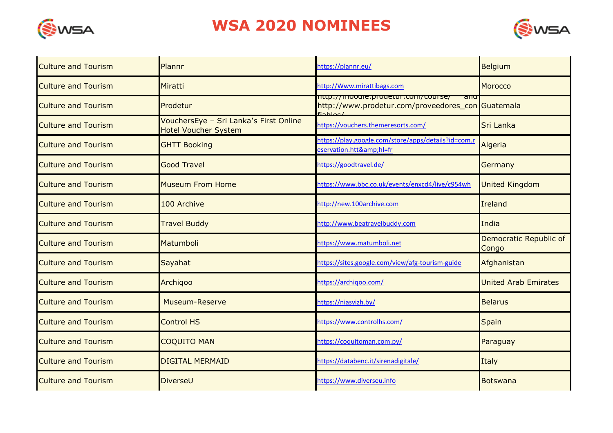



| <b>Culture and Tourism</b> | Plannr                                                                | https://plannr.eu/                                                                          | <b>Belgium</b>                  |
|----------------------------|-----------------------------------------------------------------------|---------------------------------------------------------------------------------------------|---------------------------------|
| <b>Culture and Tourism</b> | Miratti                                                               | http://Www.mirattibags.com                                                                  | <b>Morocco</b>                  |
| <b>Culture and Tourism</b> | Prodetur                                                              | nttp://mooule.prouetur.com/course/ anu<br>http://www.prodetur.com/proveedores_con Guatemala |                                 |
| <b>Culture and Tourism</b> | VouchersEye - Sri Lanka's First Online<br><b>Hotel Voucher System</b> | https://vouchers.themeresorts.com/                                                          | Sri Lanka                       |
| <b>Culture and Tourism</b> | <b>GHTT Booking</b>                                                   | https://play.google.com/store/apps/details?id=com.r<br>eservation.htt&hl=fr                 | Algeria                         |
| <b>Culture and Tourism</b> | <b>Good Travel</b>                                                    | https://goodtravel.de/                                                                      | Germany                         |
| <b>Culture and Tourism</b> | <b>Museum From Home</b>                                               | https://www.bbc.co.uk/events/enxcd4/live/c954wh                                             | <b>United Kingdom</b>           |
| <b>Culture and Tourism</b> | 100 Archive                                                           | http://new.100archive.com                                                                   | Ireland                         |
| <b>Culture and Tourism</b> | <b>Travel Buddy</b>                                                   | http://www.beatravelbuddy.com                                                               | India                           |
| <b>Culture and Tourism</b> | Matumboli                                                             | https://www.matumboli.net                                                                   | Democratic Republic of<br>Congo |
| <b>Culture and Tourism</b> | Sayahat                                                               | https://sites.google.com/view/afg-tourism-guide                                             | Afghanistan                     |
| <b>Culture and Tourism</b> | Archigoo                                                              | https://archiqoo.com/                                                                       | <b>United Arab Emirates</b>     |
| <b>Culture and Tourism</b> | Museum-Reserve                                                        | https://niasvizh.by/                                                                        | <b>Belarus</b>                  |
| <b>Culture and Tourism</b> | <b>Control HS</b>                                                     | https://www.controlhs.com/                                                                  | <b>Spain</b>                    |
| <b>Culture and Tourism</b> | <b>COQUITO MAN</b>                                                    | https://coquitoman.com.py/                                                                  | Paraguay                        |
| <b>Culture and Tourism</b> | <b>DIGITAL MERMAID</b>                                                | https://databenc.it/sirenadigitale/                                                         | Italy                           |
| <b>Culture and Tourism</b> | DiverseU                                                              | https://www.diverseu.info                                                                   | <b>Botswana</b>                 |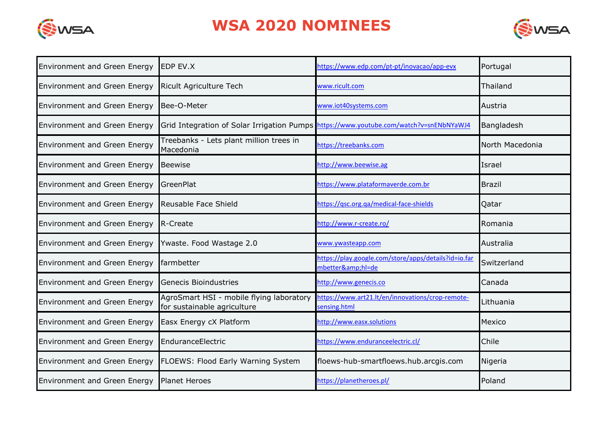



| <b>Environment and Green Energy</b> | <b>EDP EV.X</b>                                                                        | https://www.edp.com/pt-pt/inovacao/app-evx                            | Portugal        |
|-------------------------------------|----------------------------------------------------------------------------------------|-----------------------------------------------------------------------|-----------------|
| <b>Environment and Green Energy</b> | <b>Ricult Agriculture Tech</b>                                                         | www.ricult.com                                                        | Thailand        |
| <b>Environment and Green Energy</b> | Bee-O-Meter                                                                            | www.iot40systems.com                                                  | Austria         |
| <b>Environment and Green Energy</b> | Grid Integration of Solar Irrigation Pumps https://www.youtube.com/watch?v=snENbNYaWJ4 |                                                                       | Bangladesh      |
| <b>Environment and Green Energy</b> | Treebanks - Lets plant million trees in<br>Macedonia                                   | nttps://treebanks.com                                                 | North Macedonia |
| <b>Environment and Green Energy</b> | <b>Beewise</b>                                                                         | http://www.beewise.ag                                                 | Israel          |
| <b>Environment and Green Energy</b> | GreenPlat                                                                              | https://www.plataformaverde.com.br                                    | <b>Brazil</b>   |
| <b>Environment and Green Energy</b> | Reusable Face Shield                                                                   | https://gsc.org.ga/medical-face-shields                               | Qatar           |
| <b>Environment and Green Energy</b> | R-Create                                                                               | http://www.r-create.ro/                                               | Romania         |
| <b>Environment and Green Energy</b> | Ywaste. Food Wastage 2.0                                                               | www.ywasteapp.com                                                     | Australia       |
| <b>Environment and Green Energy</b> | farmbetter                                                                             | https://play.google.com/store/apps/details?id=io.far<br>mbetter&hl=de | Switzerland     |
| <b>Environment and Green Energy</b> | <b>Genecis Bioindustries</b>                                                           | http://www.genecis.co                                                 | Canada          |
| <b>Environment and Green Energy</b> | AgroSmart HSI - mobile flying laboratory<br>for sustainable agriculture                | nttps://www.art21.lt/en/innovations/crop-remote-<br>sensing.html      | Lithuania       |
| <b>Environment and Green Energy</b> | Easx Energy cX Platform                                                                | http://www.easx.solutions                                             | Mexico          |
| <b>Environment and Green Energy</b> | EnduranceElectric                                                                      | https://www.enduranceelectric.cl/                                     | Chile           |
| <b>Environment and Green Energy</b> | FLOEWS: Flood Early Warning System                                                     | floews-hub-smartfloews.hub.arcgis.com                                 | Nigeria         |
| <b>Environment and Green Energy</b> | <b>Planet Heroes</b>                                                                   | https://planetheroes.pl/                                              | Poland          |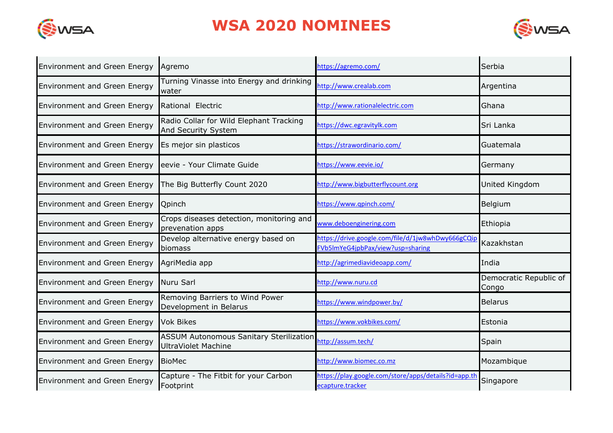



| <b>Environment and Green Energy</b> | Agremo                                                                | https://agremo.com/                                                                    | Serbia                          |
|-------------------------------------|-----------------------------------------------------------------------|----------------------------------------------------------------------------------------|---------------------------------|
| <b>Environment and Green Energy</b> | Turning Vinasse into Energy and drinking<br>water                     | http://www.crealab.com                                                                 | Argentina                       |
| <b>Environment and Green Energy</b> | Rational Electric                                                     | http://www.rationalelectric.com                                                        | Ghana                           |
| <b>Environment and Green Energy</b> | Radio Collar for Wild Elephant Tracking<br>And Security System        | https://dwc.egravitylk.com                                                             | Sri Lanka                       |
| <b>Environment and Green Energy</b> | Es mejor sin plasticos                                                | https://strawordinario.com/                                                            | Guatemala                       |
| Environment and Green Energy        | eevie - Your Climate Guide                                            | https://www.eevie.io/                                                                  | Germany                         |
| <b>Environment and Green Energy</b> | The Big Butterfly Count 2020                                          | http://www.bigbutterflycount.org                                                       | United Kingdom                  |
| <b>Environment and Green Energy</b> | Qpinch                                                                | https://www.qpinch.com/                                                                | Belgium                         |
| <b>Environment and Green Energy</b> | Crops diseases detection, monitoring and<br>prevenation apps          | www.deboenginering.com                                                                 | Ethiopia                        |
| <b>Environment and Green Energy</b> | Develop alternative energy based on<br>biomass                        | https://drive.google.com/file/d/1jw8whDwy666gCQip<br>FVb5ImYeG4jpbPax/view?usp=sharing | Kazakhstan                      |
| <b>Environment and Green Energy</b> | AgriMedia app                                                         | http://agrimediavideoapp.com/                                                          | India                           |
| <b>Environment and Green Energy</b> | Nuru Sarl                                                             | http://www.nuru.cd                                                                     | Democratic Republic of<br>Congo |
| <b>Environment and Green Energy</b> | Removing Barriers to Wind Power<br>Development in Belarus             | https://www.windpower.by/                                                              | <b>Belarus</b>                  |
| <b>Environment and Green Energy</b> | <b>Vok Bikes</b>                                                      | https://www.vokbikes.com/                                                              | Estonia                         |
| <b>Environment and Green Energy</b> | <b>ASSUM Autonomous Sanitary Sterilization</b><br>UltraViolet Machine | http://assum.tech/                                                                     | Spain                           |
| <b>Environment and Green Energy</b> | <b>BioMec</b>                                                         | http://www.biomec.co.mz                                                                | Mozambique                      |
| <b>Environment and Green Energy</b> | Capture - The Fitbit for your Carbon<br>Footprint                     | https://play.google.com/store/apps/details?id=app.th<br>ecapture.tracker               | Singapore                       |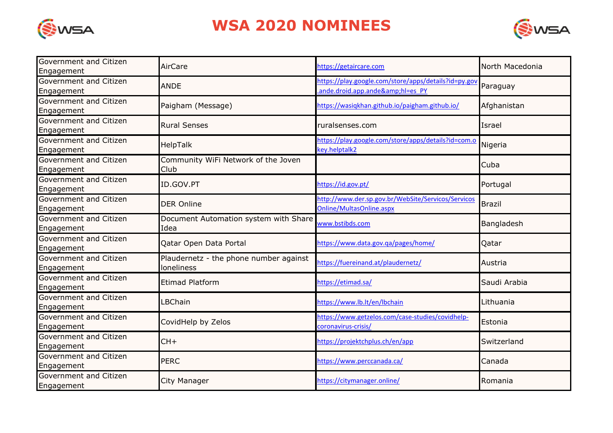



| Government and Citizen<br>Engagement | AirCare                                              | https://getaircare.com                                                               | North Macedonia |
|--------------------------------------|------------------------------------------------------|--------------------------------------------------------------------------------------|-----------------|
| Government and Citizen<br>Engagement | <b>ANDE</b>                                          | https://play.google.com/store/apps/details?id=py.gov<br>ande.droid.app.ande&hl=es_PY | Paraguay        |
| Government and Citizen<br>Engagement | Paigham (Message)                                    | https://wasiqkhan.github.io/paigham.github.io/                                       | Afghanistan     |
| Government and Citizen<br>Engagement | <b>Rural Senses</b>                                  | ruralsenses.com                                                                      | Israel          |
| Government and Citizen<br>Engagement | HelpTalk                                             | https://play.google.com/store/apps/details?id=com.o<br>key.helptalk2                 | Nigeria         |
| Government and Citizen<br>Engagement | Community WiFi Network of the Joven<br>Club          |                                                                                      | Cuba            |
| Government and Citizen<br>Engagement | ID.GOV.PT                                            | https://id.gov.pt/                                                                   | Portugal        |
| Government and Citizen<br>Engagement | <b>DER Online</b>                                    | http://www.der.sp.gov.br/WebSite/Servicos/Servicos<br>Online/MultasOnline.aspx       | <b>Brazil</b>   |
| Government and Citizen<br>Engagement | Document Automation system with Share<br>Idea        | www.bstibds.com                                                                      | Bangladesh      |
| Government and Citizen<br>Engagement | Qatar Open Data Portal                               | https://www.data.gov.ga/pages/home/                                                  | Qatar           |
| Government and Citizen<br>Engagement | Plaudernetz - the phone number against<br>loneliness | nttps://fuereinand.at/plaudernetz/                                                   | Austria         |
| Government and Citizen<br>Engagement | <b>Etimad Platform</b>                               | https://etimad.sa/                                                                   | Saudi Arabia    |
| Government and Citizen<br>Engagement | LBChain                                              | https://www.lb.lt/en/lbchain                                                         | Lithuania       |
| Government and Citizen<br>Engagement | CovidHelp by Zelos                                   | https://www.getzelos.com/case-studies/covidhelp-<br>coronavirus-crisis/              | Estonia         |
| Government and Citizen<br>Engagement | $CH+$                                                | https://projektchplus.ch/en/app                                                      | Switzerland     |
| Government and Citizen<br>Engagement | <b>PERC</b>                                          | https://www.perccanada.ca/                                                           | Canada          |
| Government and Citizen<br>Engagement | City Manager                                         | https://citymanager.online/                                                          | Romania         |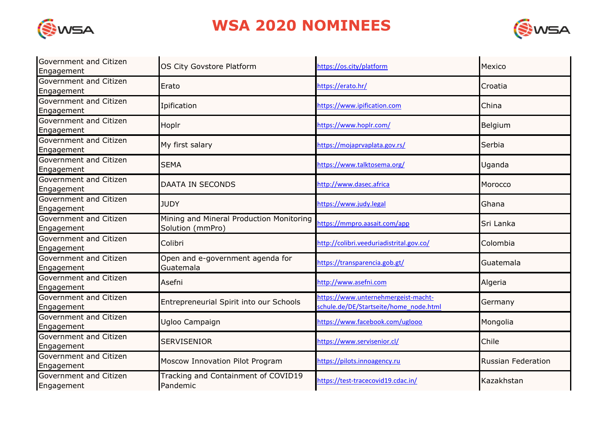



| Government and Citizen<br>Engagement | OS City Govstore Platform                                    | https://os.city/platform                                                      | Mexico                    |
|--------------------------------------|--------------------------------------------------------------|-------------------------------------------------------------------------------|---------------------------|
| Government and Citizen<br>Engagement | Erato                                                        | https://erato.hr/                                                             | Croatia                   |
| Government and Citizen<br>Engagement | Ipification                                                  | https://www.ipification.com                                                   | China                     |
| Government and Citizen<br>Engagement | Hoplr                                                        | https://www.hoplr.com/                                                        | Belgium                   |
| Government and Citizen<br>Engagement | My first salary                                              | https://mojaprvaplata.gov.rs/                                                 | Serbia                    |
| Government and Citizen<br>Engagement | <b>SEMA</b>                                                  | https://www.talktosema.org/                                                   | Uganda                    |
| Government and Citizen<br>Engagement | <b>DAATA IN SECONDS</b>                                      | http://www.dasec.africa                                                       | Morocco                   |
| Government and Citizen<br>Engagement | <b>JUDY</b>                                                  | https://www.judy.legal                                                        | Ghana                     |
| Government and Citizen<br>Engagement | Mining and Mineral Production Monitoring<br>Solution (mmPro) | https://mmpro.aasait.com/app                                                  | Sri Lanka                 |
| Government and Citizen<br>Engagement | Colibri                                                      | http://colibri.veeduriadistrital.gov.co/                                      | Colombia                  |
| Government and Citizen<br>Engagement | Open and e-government agenda for<br>Guatemala                | https://transparencia.gob.gt/                                                 | Guatemala                 |
| Government and Citizen<br>Engagement | Asefni                                                       | http://www.asefni.com                                                         | Algeria                   |
| Government and Citizen<br>Engagement | Entrepreneurial Spirit into our Schools                      | https://www.unternehmergeist-macht-<br>schule.de/DE/Startseite/home node.html | Germany                   |
| Government and Citizen<br>Engagement | Ugloo Campaign                                               | https://www.facebook.com/uglooo                                               | Mongolia                  |
| Government and Citizen<br>Engagement | <b>SERVISENIOR</b>                                           | https://www.servisenior.cl/                                                   | Chile                     |
| Government and Citizen<br>Engagement | Moscow Innovation Pilot Program                              | https://pilots.innoagency.ru                                                  | <b>Russian Federation</b> |
| Government and Citizen<br>Engagement | Tracking and Containment of COVID19<br>Pandemic              | https://test-tracecovid19.cdac.in/                                            | Kazakhstan                |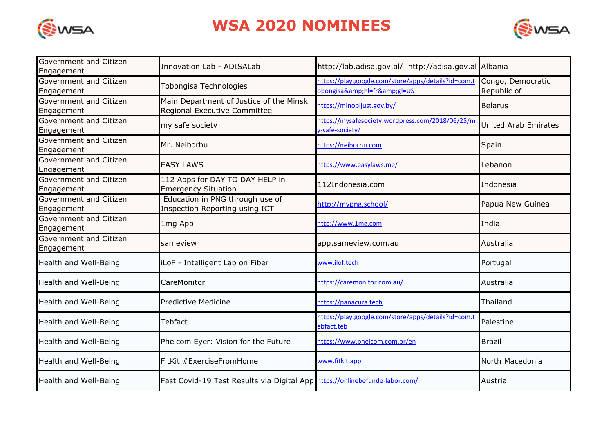



| Government and Citizen<br>Engagement | <b>Innovation Lab - ADISALab</b>                                            | http://lab.adisa.gov.al/ http://adisa.gov.al Albania                      |                                  |
|--------------------------------------|-----------------------------------------------------------------------------|---------------------------------------------------------------------------|----------------------------------|
| Government and Citizen<br>Engagement | Tobongisa Technologies                                                      | https://play.google.com/store/apps/details?id=com.t<br>obongisa&hl=fr≷=US | Congo, Democratic<br>Republic of |
| Government and Citizen<br>Engagement | Main Department of Justice of the Minsk<br>Regional Executive Committee     | https://minobljust.gov.by/                                                | <b>Belarus</b>                   |
| Government and Citizen<br>Engagement | my safe society                                                             | https://mysafesociety.wordpress.com/2018/06/25/m<br>y-safe-society/       | <b>United Arab Emirates</b>      |
| Government and Citizen<br>Engagement | Mr. Neiborhu                                                                | https://neiborhu.com                                                      | Spain                            |
| Government and Citizen<br>Engagement | <b>EASY LAWS</b>                                                            | https://www.easylaws.me/                                                  | Lebanon                          |
| Government and Citizen<br>Engagement | 112 Apps for DAY TO DAY HELP in<br><b>Emergency Situation</b>               | 112Indonesia.com                                                          | Indonesia                        |
| Government and Citizen<br>Engagement | Education in PNG through use of<br><b>Inspection Reporting using ICT</b>    | http://mypng.school/                                                      | Papua New Guinea                 |
| Government and Citizen<br>Engagement | 1mg App                                                                     | http://www.1mg.com                                                        | India                            |
| Government and Citizen<br>Engagement | sameview                                                                    | app.sameview.com.au                                                       | Australia                        |
| Health and Well-Being                | iLoF - Intelligent Lab on Fiber                                             | www.ilof.tech                                                             | Portugal                         |
| Health and Well-Being                | CareMonitor                                                                 | https://caremonitor.com.au/                                               | Australia                        |
| Health and Well-Being                | <b>Predictive Medicine</b>                                                  | https://panacura.tech                                                     | Thailand                         |
| Health and Well-Being                | Tebfact                                                                     | https://play.google.com/store/apps/details?id=com.t<br>ebfact.teb         | Palestine                        |
| Health and Well-Being                | Phelcom Eyer: Vision for the Future                                         | https://www.phelcom.com.br/en                                             | <b>Brazil</b>                    |
| Health and Well-Being                | FitKit #ExerciseFromHome                                                    | www.fitkit.app                                                            | North Macedonia                  |
| Health and Well-Being                | Fast Covid-19 Test Results via Digital App https://onlinebefunde-labor.com/ |                                                                           | Austria                          |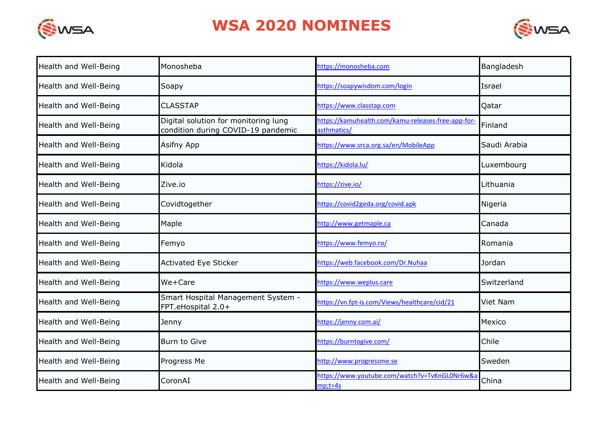



| Health and Well-Being | Monosheba                                                                  | https://monosheba.com                                             | Bangladesh   |
|-----------------------|----------------------------------------------------------------------------|-------------------------------------------------------------------|--------------|
| Health and Well-Being | Soapy                                                                      | https://soapywisdom.com/login                                     | Israel       |
| Health and Well-Being | <b>CLASSTAP</b>                                                            | https://www.classtap.com                                          | Qatar        |
| Health and Well-Being | Digital solution for monitoring lung<br>condition during COVID-19 pandemic | https://kamuhealth.com/kamu-releases-free-app-for-<br>asthmatics/ | Finland      |
| Health and Well-Being | Asifny App                                                                 | https://www.srca.org.sa/en/MobileApp                              | Saudi Arabia |
| Health and Well-Being | Kidola                                                                     | https://kidola.lu/                                                | Luxembourg   |
| Health and Well-Being | Zive.io                                                                    | https://zive.io/                                                  | Lithuania    |
| Health and Well-Being | Covidtogether                                                              | https://covid2geda.org/covid.apk                                  | Nigeria      |
| Health and Well-Being | Maple                                                                      | http://www.getmaple.ca                                            | Canada       |
| Health and Well-Being | Femyo                                                                      | https://www.femyo.ro/                                             | Romania      |
| Health and Well-Being | Activated Eye Sticker                                                      | https://web.facebook.com/Dr.Nuhaa                                 | Jordan       |
| Health and Well-Being | We+Care                                                                    | https://www.weplus.care                                           | Switzerland  |
| Health and Well-Being | Smart Hospital Management System -<br>FPT.eHospital 2.0+                   | https://vn.fpt-is.com/Views/healthcare/cid/21                     | Viet Nam     |
| Health and Well-Being | Jenny                                                                      | https://jenny.com.ai/                                             | Mexico       |
| Health and Well-Being | Burn to Give                                                               | https://burntogive.com/                                           | Chile        |
| Health and Well-Being | Progress Me                                                                | http://www.progressme.se                                          | Sweden       |
| Health and Well-Being | CoronAI                                                                    | https://www.youtube.com/watch?v=TvKnGL0Nr6w&a<br>$mp; t = 4s$     | China        |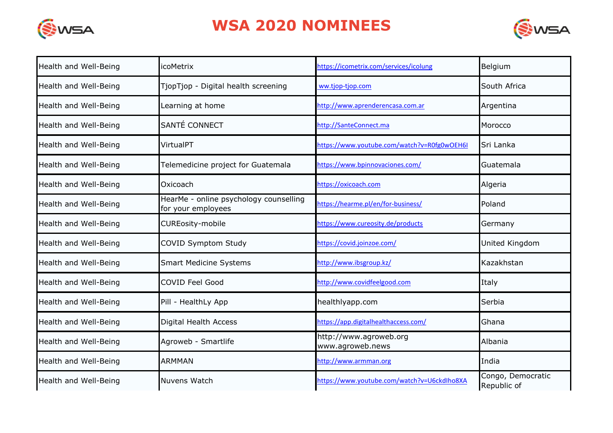



| Health and Well-Being | icoMetrix                                                    | https://icometrix.com/services/icolung      | Belgium                          |
|-----------------------|--------------------------------------------------------------|---------------------------------------------|----------------------------------|
| Health and Well-Being | TjopTjop - Digital health screening                          | ww.tjop-tjop.com                            | South Africa                     |
| Health and Well-Being | Learning at home                                             | http://www.aprenderencasa.com.ar            | Argentina                        |
| Health and Well-Being | SANTÉ CONNECT                                                | http://SanteConnect.ma                      | Morocco                          |
| Health and Well-Being | VirtualPT                                                    | https://www.youtube.com/watch?v=R0fg0wOEH6I | Sri Lanka                        |
| Health and Well-Being | Telemedicine project for Guatemala                           | https://www.bpinnovaciones.com/             | Guatemala                        |
| Health and Well-Being | Oxicoach                                                     | https://oxicoach.com                        | Algeria                          |
| Health and Well-Being | HearMe - online psychology counselling<br>for your employees | https://hearme.pl/en/for-business/          | Poland                           |
| Health and Well-Being | <b>CUREosity-mobile</b>                                      | https://www.cureosity.de/products           | Germany                          |
| Health and Well-Being | COVID Symptom Study                                          | https://covid.joinzoe.com/                  | United Kingdom                   |
| Health and Well-Being | <b>Smart Medicine Systems</b>                                | http://www.ibsgroup.kz/                     | Kazakhstan                       |
| Health and Well-Being | <b>COVID Feel Good</b>                                       | http://www.covidfeelgood.com                | Italy                            |
| Health and Well-Being | Pill - HealthLy App                                          | healthlyapp.com                             | Serbia                           |
| Health and Well-Being | Digital Health Access                                        | https://app.digitalhealthaccess.com/        | Ghana                            |
| Health and Well-Being | Agroweb - Smartlife                                          | http://www.agroweb.org<br>www.agroweb.news  | Albania                          |
| Health and Well-Being | <b>ARMMAN</b>                                                | http://www.armman.org                       | India                            |
| Health and Well-Being | Nuvens Watch                                                 | https://www.youtube.com/watch?v=U6ckdlho8XA | Congo, Democratic<br>Republic of |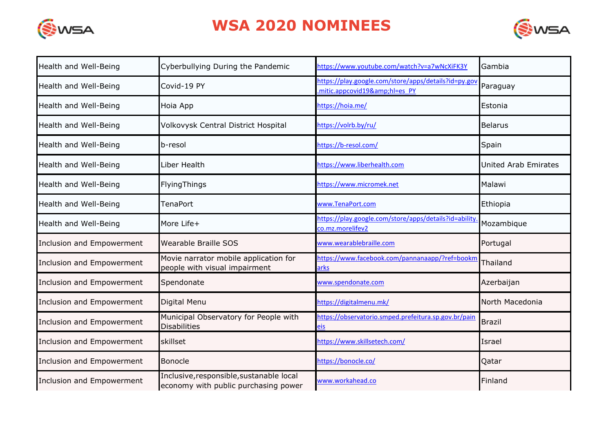



| Health and Well-Being            | Cyberbullying During the Pandemic                                                | https://www.youtube.com/watch?v=a7wNcXiFK3Y                                       | Gambia                      |
|----------------------------------|----------------------------------------------------------------------------------|-----------------------------------------------------------------------------------|-----------------------------|
| Health and Well-Being            | Covid-19 PY                                                                      | https://play.google.com/store/apps/details?id=py.gov<br>mitic.appcovid19&hl=es_PY | Paraguay                    |
| Health and Well-Being            | Hoia App                                                                         | https://hoia.me/                                                                  | Estonia                     |
| Health and Well-Being            | Volkovysk Central District Hospital                                              | https://volrb.by/ru/                                                              | <b>Belarus</b>              |
| Health and Well-Being            | b-resol                                                                          | https://b-resol.com/                                                              | Spain                       |
| Health and Well-Being            | Liber Health                                                                     | https://www.liberhealth.com                                                       | <b>United Arab Emirates</b> |
| Health and Well-Being            | FlyingThings                                                                     | https://www.micromek.net                                                          | Malawi                      |
| Health and Well-Being            | <b>TenaPort</b>                                                                  | www.TenaPort.com                                                                  | Ethiopia                    |
| Health and Well-Being            | More Life+                                                                       | https://play.google.com/store/apps/details?id=ability<br>co.mz.morelifev2         | Mozambique                  |
| Inclusion and Empowerment        | Wearable Braille SOS                                                             | www.wearablebraille.com                                                           | Portugal                    |
| <b>Inclusion and Empowerment</b> | Movie narrator mobile application for<br>people with visual impairment           | nttps://www.facebook.com/pannanaapp/?ref=bookm<br>arks                            | Thailand                    |
| Inclusion and Empowerment        | Spendonate                                                                       | www.spendonate.com                                                                | Azerbaijan                  |
| Inclusion and Empowerment        | Digital Menu                                                                     | https://digitalmenu.mk/                                                           | North Macedonia             |
| Inclusion and Empowerment        | Municipal Observatory for People with<br><b>Disabilities</b>                     | https://observatorio.smped.prefeitura.sp.gov.br/pain<br>eis                       | <b>Brazil</b>               |
| Inclusion and Empowerment        | skillset                                                                         | https://www.skillsetech.com/                                                      | Israel                      |
| Inclusion and Empowerment        | Bonocle                                                                          | https://bonocle.co/                                                               | Qatar                       |
| Inclusion and Empowerment        | Inclusive, responsible, sustanable local<br>economy with public purchasing power | www.workahead.co                                                                  | Finland                     |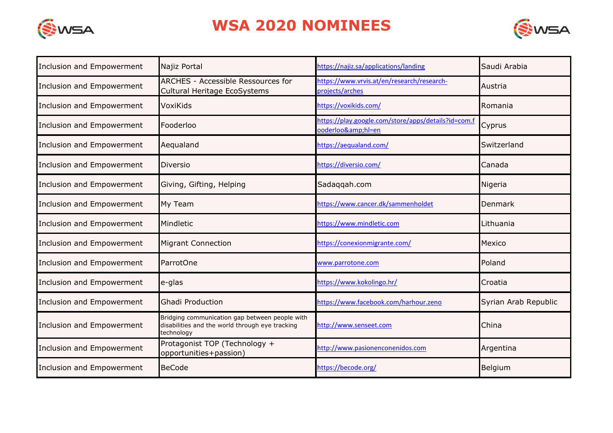



| Inclusion and Empowerment | Najiz Portal                                                                                                    | https://najiz.sa/applications/landing                                 | Saudi Arabia         |
|---------------------------|-----------------------------------------------------------------------------------------------------------------|-----------------------------------------------------------------------|----------------------|
| Inclusion and Empowerment | ARCHES - Accessible Ressources for<br>Cultural Heritage EcoSystems                                              | https://www.vrvis.at/en/research/research-<br>projects/arches         | Austria              |
| Inclusion and Empowerment | VoxiKids                                                                                                        | https://voxikids.com/                                                 | Romania              |
| Inclusion and Empowerment | Fooderloo                                                                                                       | https://play.google.com/store/apps/details?id=com.f<br>ooderloo&hl=en | Cyprus               |
| Inclusion and Empowerment | Aequaland                                                                                                       | https://aequaland.com/                                                | Switzerland          |
| Inclusion and Empowerment | Diversio                                                                                                        | https://diversio.com/                                                 | Canada               |
| Inclusion and Empowerment | Giving, Gifting, Helping                                                                                        | Sadaqqah.com                                                          | Nigeria              |
| Inclusion and Empowerment | My Team                                                                                                         | https://www.cancer.dk/sammenholdet                                    | Denmark              |
| Inclusion and Empowerment | Mindletic                                                                                                       | https://www.mindletic.com                                             | Lithuania            |
| Inclusion and Empowerment | <b>Migrant Connection</b>                                                                                       | https://conexionmigrante.com/                                         | Mexico               |
| Inclusion and Empowerment | ParrotOne                                                                                                       | www.parrotone.com                                                     | Poland               |
| Inclusion and Empowerment | e-glas                                                                                                          | https://www.kokolingo.hr/                                             | Croatia              |
| Inclusion and Empowerment | <b>Ghadi Production</b>                                                                                         | https://www.facebook.com/harhour.zeno                                 | Syrian Arab Republic |
| Inclusion and Empowerment | Bridging communication gap between people with<br>disabilities and the world through eye tracking<br>technology | http://www.senseet.com                                                | China                |
| Inclusion and Empowerment | Protagonist TOP (Technology +<br>opportunities+passion)                                                         | http://www.pasionenconenidos.com                                      | Argentina            |
| Inclusion and Empowerment | <b>BeCode</b>                                                                                                   | https://becode.org/                                                   | Belgium              |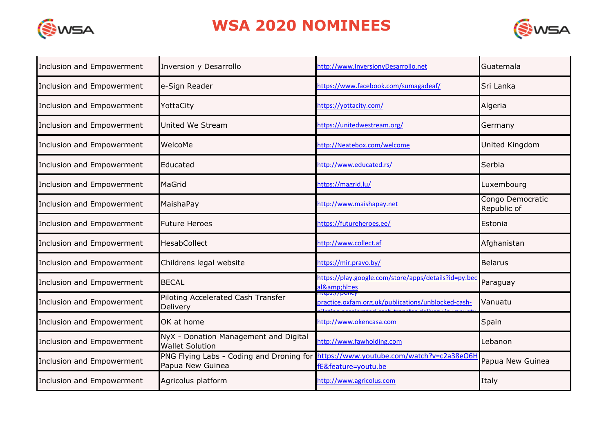



| Inclusion and Empowerment | Inversion y Desarrollo                                          | http://www.InversionyDesarrollo.net                                  | Guatemala                       |
|---------------------------|-----------------------------------------------------------------|----------------------------------------------------------------------|---------------------------------|
| Inclusion and Empowerment | e-Sign Reader                                                   | https://www.facebook.com/sumagadeaf/                                 | Sri Lanka                       |
| Inclusion and Empowerment | YottaCity                                                       | https://yottacity.com/                                               | Algeria                         |
| Inclusion and Empowerment | United We Stream                                                | https://unitedwestream.org/                                          | Germany                         |
| Inclusion and Empowerment | WelcoMe                                                         | http://Neatebox.com/welcome                                          | United Kingdom                  |
| Inclusion and Empowerment | Educated                                                        | http://www.educated.rs/                                              | Serbia                          |
| Inclusion and Empowerment | MaGrid                                                          | https://magrid.lu/                                                   | Luxembourg                      |
| Inclusion and Empowerment | MaishaPay                                                       | http://www.maishapay.net                                             | Congo Democratic<br>Republic of |
| Inclusion and Empowerment | <b>Future Heroes</b>                                            | https://futureheroes.ee/                                             | Estonia                         |
| Inclusion and Empowerment | <b>HesabCollect</b>                                             | http://www.collect.af                                                | Afghanistan                     |
| Inclusion and Empowerment | Childrens legal website                                         | https://mir.pravo.by/                                                | <b>Belarus</b>                  |
| Inclusion and Empowerment | <b>BECAL</b>                                                    | https://play.google.com/store/apps/details?id=py.bec<br>al&hl=es     | Paraguay                        |
| Inclusion and Empowerment | Piloting Accelerated Cash Transfer<br>Delivery                  | ittps.//policy<br>practice.oxfam.org.uk/publications/unblocked-cash- | Vanuatu                         |
| Inclusion and Empowerment | OK at home                                                      | http://www.okencasa.com                                              | Spain                           |
| Inclusion and Empowerment | NyX - Donation Management and Digital<br><b>Wallet Solution</b> | http://www.fawholding.com                                            | Lebanon                         |
| Inclusion and Empowerment | PNG Flying Labs - Coding and Droning for<br>Papua New Guinea    | https://www.youtube.com/watch?v=c2a38eO6H<br>fE&feature=youtu.be     | Papua New Guinea                |
| Inclusion and Empowerment | Agricolus platform                                              | http://www.agricolus.com                                             | Italy                           |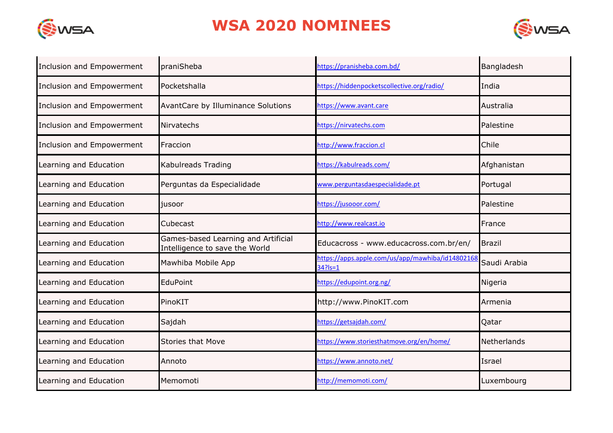



| Inclusion and Empowerment | praniSheba                                                            | https://pranisheba.com.bd/                                       | Bangladesh    |
|---------------------------|-----------------------------------------------------------------------|------------------------------------------------------------------|---------------|
| Inclusion and Empowerment | Pocketshalla                                                          | https://hiddenpocketscollective.org/radio/                       | India         |
| Inclusion and Empowerment | AvantCare by Illuminance Solutions                                    | nttps://www.avant.care                                           | Australia     |
| Inclusion and Empowerment | Nirvatechs                                                            | https://nirvatechs.com                                           | Palestine     |
| Inclusion and Empowerment | Fraccion                                                              | http://www.fraccion.cl                                           | Chile         |
| Learning and Education    | Kabulreads Trading                                                    | https://kabulreads.com/                                          | Afghanistan   |
| Learning and Education    | Perguntas da Especialidade                                            | www.perguntasdaespecialidade.pt                                  | Portugal      |
| Learning and Education    | jusoor                                                                | https://jusooor.com/                                             | Palestine     |
| Learning and Education    | Cubecast                                                              | http://www.realcast.io                                           | France        |
| Learning and Education    | Games-based Learning and Artificial<br>Intelligence to save the World | Educacross - www.educacross.com.br/en/                           | <b>Brazil</b> |
| Learning and Education    | Mawhiba Mobile App                                                    | https://apps.apple.com/us/app/mawhiba/id14802168<br>$34?$ Is = 1 | Saudi Arabia  |
| Learning and Education    | EduPoint                                                              | https://edupoint.org.ng/                                         | Nigeria       |
| Learning and Education    | PinoKIT                                                               | http://www.PinoKIT.com                                           | Armenia       |
| Learning and Education    | Sajdah                                                                | https://getsajdah.com/                                           | Qatar         |
| Learning and Education    | <b>Stories that Move</b>                                              | https://www.storiesthatmove.org/en/home/                         | Netherlands   |
| Learning and Education    | Annoto                                                                | https://www.annoto.net/                                          | Israel        |
| Learning and Education    | Memomoti                                                              | http://memomoti.com/                                             | Luxembourg    |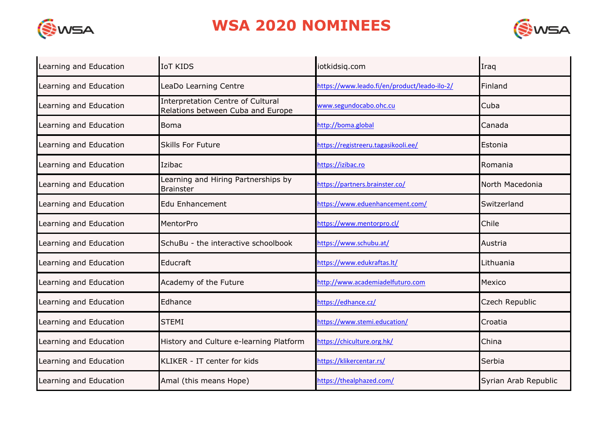



| Learning and Education | <b>IoT KIDS</b>                                                               | iotkidsig.com                                | Iraq                 |
|------------------------|-------------------------------------------------------------------------------|----------------------------------------------|----------------------|
| Learning and Education | LeaDo Learning Centre                                                         | https://www.leado.fi/en/product/leado-ilo-2/ | Finland              |
| Learning and Education | <b>Interpretation Centre of Cultural</b><br>Relations between Cuba and Europe | www.segundocabo.ohc.cu                       | Cuba                 |
| Learning and Education | <b>Boma</b>                                                                   | http://boma.global                           | Canada               |
| Learning and Education | <b>Skills For Future</b>                                                      | https://registreeru.tagasikooli.ee/          | Estonia              |
| Learning and Education | Izibac                                                                        | https://izibac.ro                            | Romania              |
| Learning and Education | Learning and Hiring Partnerships by<br><b>Brainster</b>                       | https://partners.brainster.co/               | North Macedonia      |
| Learning and Education | <b>Edu Enhancement</b>                                                        | https://www.eduenhancement.com/              | Switzerland          |
| Learning and Education | MentorPro                                                                     | https://www.mentorpro.cl/                    | Chile                |
| Learning and Education | SchuBu - the interactive schoolbook                                           | https://www.schubu.at/                       | Austria              |
| Learning and Education | Educraft                                                                      | https://www.edukraftas.lt/                   | Lithuania            |
| Learning and Education | Academy of the Future                                                         | http://www.academiadelfuturo.com             | Mexico               |
| Learning and Education | Edhance                                                                       | https://edhance.cz/                          | Czech Republic       |
| Learning and Education | <b>STEMI</b>                                                                  | https://www.stemi.education/                 | Croatia              |
| Learning and Education | History and Culture e-learning Platform                                       | https://chiculture.org.hk/                   | China                |
| Learning and Education | KLIKER - IT center for kids                                                   | https://klikercentar.rs/                     | Serbia               |
| Learning and Education | Amal (this means Hope)                                                        | https://thealphazed.com/                     | Syrian Arab Republic |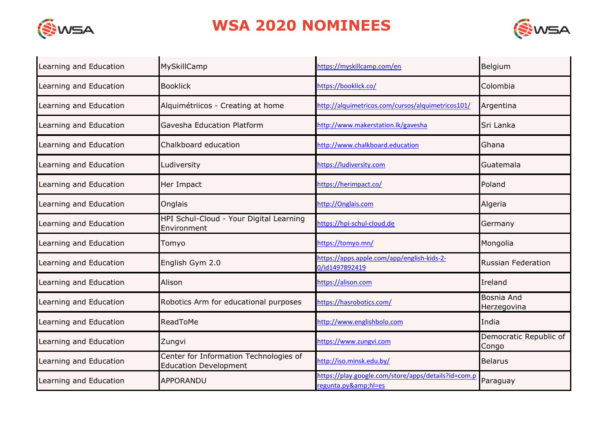



| Learning and Education | MySkillCamp                                                            | https://myskillcamp.com/en                                              | Belgium                          |
|------------------------|------------------------------------------------------------------------|-------------------------------------------------------------------------|----------------------------------|
| Learning and Education | <b>Booklick</b>                                                        | https://booklick.co/                                                    | Colombia                         |
| Learning and Education | Alquimétriicos - Creating at home                                      | http://alquimetricos.com/cursos/alquimetricos101/                       | Argentina                        |
| Learning and Education | Gavesha Education Platform                                             | http://www.makerstation.lk/gavesha                                      | Sri Lanka                        |
| Learning and Education | Chalkboard education                                                   | http://www.chalkboard.education                                         | Ghana                            |
| Learning and Education | Ludiversity                                                            | https://ludiversity.com                                                 | Guatemala                        |
| Learning and Education | Her Impact                                                             | https://herimpact.co/                                                   | Poland                           |
| Learning and Education | Onglais                                                                | http://Onglais.com                                                      | Algeria                          |
| Learning and Education | HPI Schul-Cloud - Your Digital Learning<br>Environment                 | https://hpi-schul-cloud.de                                              | Germany                          |
| Learning and Education | Tomyo                                                                  | https://tomyo.mn/                                                       | Mongolia                         |
| Learning and Education | English Gym 2.0                                                        | https://apps.apple.com/app/english-kids-2-<br>0/id1497892419            | <b>Russian Federation</b>        |
| Learning and Education | Alison                                                                 | https://alison.com                                                      | Ireland                          |
| Learning and Education | Robotics Arm for educational purposes                                  | https://hasrobotics.com/                                                | <b>Bosnia And</b><br>Herzegovina |
| Learning and Education | ReadToMe                                                               | http://www.englishbolo.com                                              | India                            |
| Learning and Education | Zungvi                                                                 | https://www.zungvi.com                                                  | Democratic Republic of<br>Congo  |
| Learning and Education | Center for Information Technologies of<br><b>Education Development</b> | http://iso.minsk.edu.by/                                                | <b>Belarus</b>                   |
| Learning and Education | <b>APPORANDU</b>                                                       | https://play.google.com/store/apps/details?id=com.p<br>regunta.py&hl=es | Paraguay                         |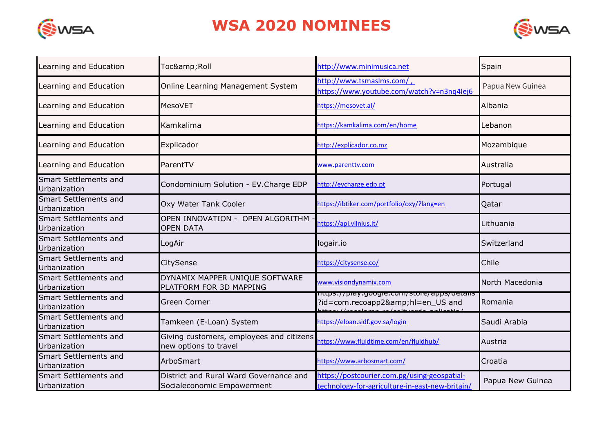



| Learning and Education                | Toc& Roll                                                            | http://www.minimusica.net                                                                                          | Spain            |
|---------------------------------------|----------------------------------------------------------------------|--------------------------------------------------------------------------------------------------------------------|------------------|
| Learning and Education                | Online Learning Management System                                    | http://www.tsmaslms.com/,<br>https://www.youtube.com/watch?v=n3nq4lej6                                             | Papua New Guinea |
| Learning and Education                | <b>MesoVET</b>                                                       | https://mesovet.al/                                                                                                | Albania          |
| Learning and Education                | Kamkalima                                                            | https://kamkalima.com/en/home                                                                                      | Lebanon          |
| Learning and Education                | Explicador                                                           | http://explicador.co.mz                                                                                            | Mozambique       |
| Learning and Education                | ParentTV                                                             | www.parenttv.com                                                                                                   | Australia        |
| Smart Settlements and<br>Urbanization | Condominium Solution - EV.Charge EDP                                 | http://evcharge.edp.pt                                                                                             | Portugal         |
| Smart Settlements and<br>Urbanization | Oxy Water Tank Cooler                                                | https://ibtiker.com/portfolio/oxy/?lang=en                                                                         | Qatar            |
| Smart Settlements and<br>Urbanization | OPEN INNOVATION - OPEN ALGORITHM<br><b>OPEN DATA</b>                 | https://api.vilnius.lt/                                                                                            | Lithuania        |
| Smart Settlements and<br>Urbanization | LogAir                                                               | logair.io                                                                                                          | Switzerland      |
| Smart Settlements and<br>Urbanization | CitySense                                                            | https://citysense.co/                                                                                              | Chile            |
| Smart Settlements and<br>Urbanization | DYNAMIX MAPPER UNIQUE SOFTWARE<br>PLATFORM FOR 3D MAPPING            | www.visiondynamix.com                                                                                              | North Macedonia  |
| Smart Settlements and<br>Urbanization | Green Corner                                                         | nttps.//piay.google.com/store/apps/uetails<br>?id=com.recoapp2&hl=en_US and<br>teoilleachar ealadhuarda anticatiol | Romania          |
| Smart Settlements and<br>Urbanization | Tamkeen (E-Loan) System                                              | https://eloan.sidf.gov.sa/login                                                                                    | Saudi Arabia     |
| Smart Settlements and<br>Urbanization | Giving customers, employees and citizens<br>new options to travel    | https://www.fluidtime.com/en/fluidhub/                                                                             | Austria          |
| Smart Settlements and<br>Urbanization | ArboSmart                                                            | https://www.arbosmart.com/                                                                                         | Croatia          |
| Smart Settlements and<br>Urbanization | District and Rural Ward Governance and<br>Socialeconomic Empowerment | https://postcourier.com.pg/using-geospatial-<br>technology-for-agriculture-in-east-new-britain/                    | Papua New Guinea |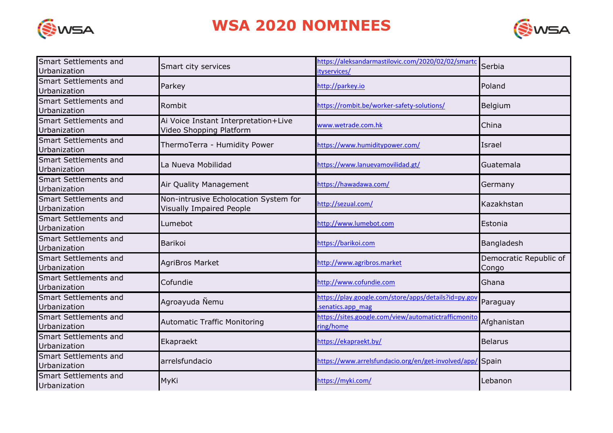



| Smart Settlements and<br>Urbanization        | Smart city services                                                      | https://aleksandarmastilovic.com/2020/02/02/smarto<br>ityservices/       | Serbia                          |
|----------------------------------------------|--------------------------------------------------------------------------|--------------------------------------------------------------------------|---------------------------------|
| Smart Settlements and<br>Urbanization        | Parkey                                                                   | http://parkey.io                                                         | Poland                          |
| <b>Smart Settlements and</b><br>Urbanization | Rombit                                                                   | https://rombit.be/worker-safety-solutions/                               | Belgium                         |
| Smart Settlements and<br>Urbanization        | Ai Voice Instant Interpretation+Live<br>Video Shopping Platform          | www.wetrade.com.hk                                                       | China                           |
| Smart Settlements and<br>Urbanization        | ThermoTerra - Humidity Power                                             | https://www.humiditypower.com/                                           | Israel                          |
| <b>Smart Settlements and</b><br>Urbanization | La Nueva Mobilidad                                                       | https://www.lanuevamovilidad.gt/                                         | Guatemala                       |
| Smart Settlements and<br>Urbanization        | Air Quality Management                                                   | https://hawadawa.com/                                                    | Germany                         |
| Smart Settlements and<br>Urbanization        | Non-intrusive Echolocation System for<br><b>Visually Impaired People</b> | http://sezual.com/                                                       | Kazakhstan                      |
| Smart Settlements and<br>Urbanization        | Lumebot                                                                  | http://www.lumebot.com                                                   | Estonia                         |
| Smart Settlements and<br>Urbanization        | Barikoi                                                                  | https://barikoi.com                                                      | Bangladesh                      |
| Smart Settlements and<br>Urbanization        | <b>AgriBros Market</b>                                                   | http://www.agribros.market                                               | Democratic Republic of<br>Congo |
| Smart Settlements and<br>Urbanization        | Cofundie                                                                 | http://www.cofundie.com                                                  | Ghana                           |
| Smart Settlements and<br>Urbanization        | Agroayuda Nemu                                                           | https://play.google.com/store/apps/details?id=py.gov<br>senatics.app mag | Paraguay                        |
| Smart Settlements and<br>Urbanization        | <b>Automatic Traffic Monitoring</b>                                      | https://sites.google.com/view/automatictrafficmonito<br>ring/home        | Afghanistan                     |
| Smart Settlements and<br>Urbanization        | Ekapraekt                                                                | https://ekapraekt.by/                                                    | <b>Belarus</b>                  |
| Smart Settlements and<br>Urbanization        | arrelsfundacio                                                           | https://www.arrelsfundacio.org/en/get-involved/app/ Spain                |                                 |
| Smart Settlements and<br>Urbanization        | MyKi                                                                     | https://myki.com/                                                        | Lebanon                         |